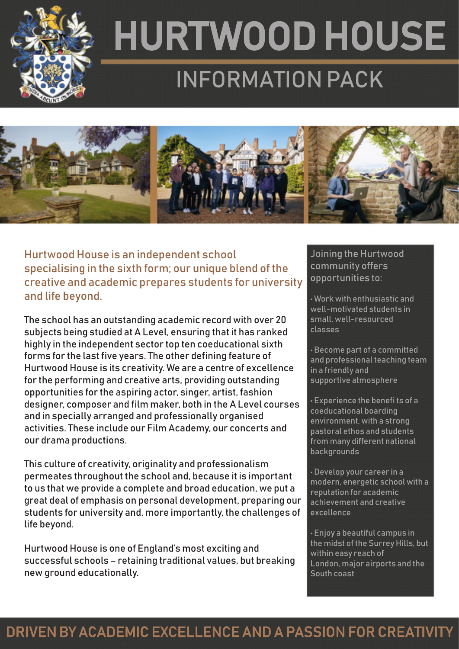

## HURTWOOD HOUSE INFORMATION PACK



Hurtwood House is an independent school specialising in the sixth form; our unique blend of the creative and academic prepares students for university and life beyond.

The school has an outstanding academic record with over 20 subjects being studied at A Level, ensuring that it has ranked highly in the independent sector top ten coeducational sixth forms for the last five years. The other defining feature of Hurtwood House is its creativity. We are a centre of excellence for the performing and creative arts, providing outstanding opportunities for the aspiring actor, singer, artist, fashion designer, composer and film maker, both in the A Level courses and in specially arranged and professionally organised activities. These include our Film Academy, our concerts and our drama productions.

This culture of creativity, originality and professionalism permeates throughout the school and, because it is important to us that we provide a complete and broad education, we put a great deal of emphasis on personal development, preparing our students for university and, more importantly, the challenges of life beyond.

Hurtwood House is one of England's most exciting and successful schools – retaining traditional values, but breaking new ground educationally.

#### Joining the Hurtwood community offers opportunities to:

• Work with enthusiastic and well-motivated students in small, well-resourced classes

• Become part of a committed and professional teaching team in a friendly and supportive atmosphere

• Experience the benefi ts of a coeducational boarding environment, with a strong pastoral ethos and students from many different national backgrounds

• Develop your career in a modern, energetic school with a reputation for academic achievement and creative excellence

• Enjoy a beautiful campus in the midst of the Surrey Hills, but within easy reach of London, major airports and the South coast

## DRIVEN BY ACADEMIC EXCELLENCE AND A PASSION FOR CREATIVITY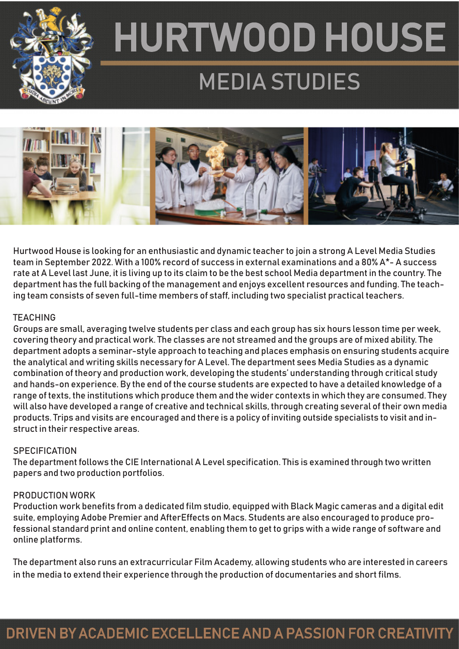

## HURTWOOD HOUSE MEDIA STUDIES



Hurtwood House is looking for an enthusiastic and dynamic teacher to join a strong A Level Media Studies team in September 2022. With a 100% record of success in external examinations and a 80% A\*- A success rate at A Level last June, it is living up to its claim to be the best school Media department in the country. The department has the full backing of the management and enjoys excellent resources and funding. The teaching team consists of seven full-time members of staff, including two specialist practical teachers.

#### **TEACHING**

Groups are small, averaging twelve students per class and each group has six hours lesson time per week, covering theory and practical work. The classes are not streamed and the groups are of mixed ability. The department adopts a seminar-style approach to teaching and places emphasis on ensuring students acquire the analytical and writing skills necessary for A Level. The department sees Media Studies as a dynamic combination of theory and production work, developing the students' understanding through critical study and hands-on experience. By the end of the course students are expected to have a detailed knowledge of a range of texts, the institutions which produce them and the wider contexts in which they are consumed. They will also have developed a range of creative and technical skills, through creating several of their own media products. Trips and visits are encouraged and there is a policy of inviting outside specialists to visit and instruct in their respective areas.

#### **SPECIFICATION**

The department follows the CIE International A Level specification. This is examined through two written papers and two production portfolios.

#### PRODUCTION WORK

Production work benefits from a dedicated film studio, equipped with Black Magic cameras and a digital edit suite, employing Adobe Premier and AfterEffects on Macs. Students are also encouraged to produce professional standard print and online content, enabling them to get to grips with a wide range of software and online platforms.

The department also runs an extracurricular Film Academy, allowing students who are interested in careers in the media to extend their experience through the production of documentaries and short films.

## DRIVEN BY ACADEMIC EXCELLENCE AND A PASSION FOR CREATIVITY